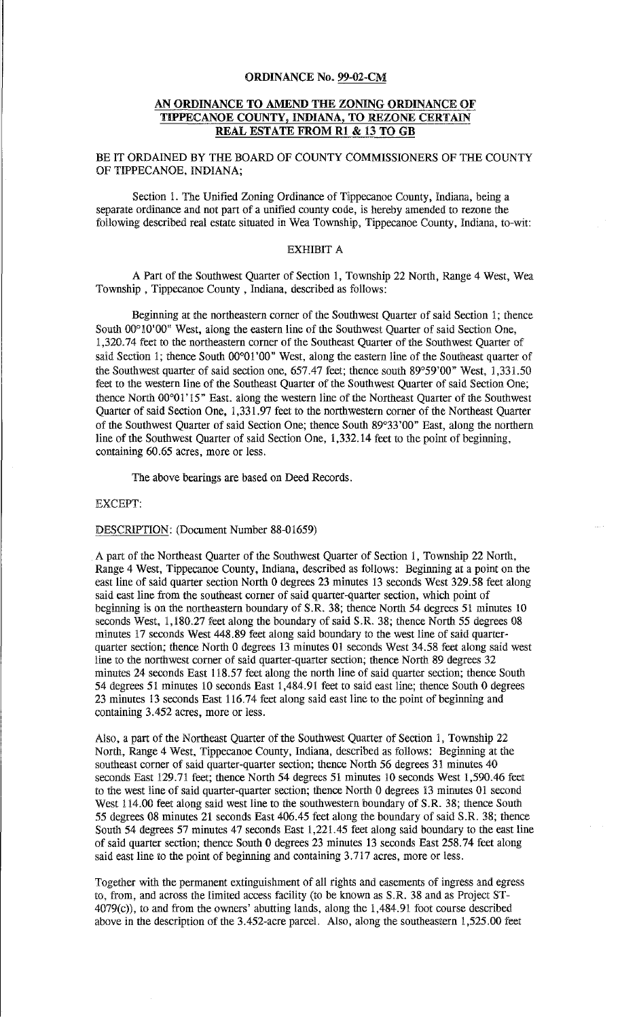#### ORDINANCE No. 99-02-CM

### AN ORDINANCE TO AMEND THE ZONING ORDINANCE OF TIPPECANOE COUNTY, INDIANA, TO REZONE CERTAIN REAL ESTATE FROM R1 & 13 TO GB

BE IT ORDAINED BY THE BOARD OF COUNTY COMMISSIONERS OF THE COUNTY OF TIPPECANOE, INDIANA;

Section I. The Unified Zoning Ordinance of Tippecanoe County, Indiana, being a separate ordinance and not part of a unified county code, is hereby amended to rezone the following described real estate situated in Wea Township, Tippecanoe County, Indiana, to-wit:

## EXHIBIT A

A Part of the Southwest Quarter of Section 1, Township 22 North, Range 4 West, Wea Township , Tippecanoe County , Indiana, described as follows:

Beginning at the northeastern corner of the Southwest Quarter of said Section 1; thence South 00°10'00" West, along the eastern line of the Southwest Quarter of said Section One, 1,320.74 feet to the northeastern corner of the Southeast Quarter of the Southwest Quarter of said Section 1; thence South 00°01'00" West, along the eastern line of the Southeast quarter of the Southwest quarter of said section one, 657.47 feet; thence south 89°59'00" West, 1,331.50 feet to the western line of the Southeast Quarter of the Southwest Quarter of said Section One; thence North 00°01' 15" East. along the western line of the Northeast Quarter of the Southwest Quarter of said Section One, 1,331.97 feet to the northwestern corner of the Northeast Quarter of the Southwest Quarter of said Section One; thence South 89°33'00" East, along the northern line of the Southwest Quarter of said Section One, 1,332.14 feet to the point of beginning, containing 60.65 acres, more or less.

The above bearings are based on Deed Records.

# EXCEPT:

DESCRIPTION: (Document Number 88-01659)

A part of the Northeast Quarter of the Southwest Quarter of Section 1, Township 22 North, Range 4 West, Tippecanoe County, Indiana, described as follows: Beginning at a point on the east line of said quarter section North 0 degrees 23 minutes 13 seconds West 329.58 feet along said east line from the southeast corner of said quarter-quarter section, which point of beginning is on the northeastern boundary of S.R. 38; thence North 54 degrees 51 minutes 10 seconds West, 1,180.27 feet along the boundary of said S.R. 38; thence North 55 degrees 08 minutes 17 seconds West 448.89 feet along said boundary to the west line of said quarterquarter section; thence North 0 degrees 13 minutes 01 seconds West 34.58 feet along said west line to the northwest corner of said quarter-quarter section; thence North 89 degrees 32 minutes 24 seconds East 118.57 feet along the north line of said quarter section; thence South 54 degrees 51 minutes 10 seconds East 1,484.91 feet to said east line; thence South 0 degrees 23 minutes 13 seconds East 116. 74 feet along said east line to the point of beginning and containing 3.452 acres, more or less.

Also, a part of the Northeast Quarter of the Southwest Quarter of Section l, Township 22 North, Range 4 West, Tippecanoe County, Indiana, described as follows: Beginning at the southeast corner of said quarter-quarter section; thence North 56 degrees 31 minutes 40 seconds East 129.71 feet; thence North 54 degrees 51 minutes 10 seconds West 1,590.46 feet to the west line of said quarter-quarter section; thence North 0 degrees 13 minutes 01 second West 114.00 feet along said west line to the southwestern boundary of S.R. 38; thence South 55 degrees 08 minutes 21 seconds East 406.45 feet along the boundary of said S.R. 38; thence South 54 degrees 57 minutes 47 seconds East l,221.45 feet along said boundary to the east line of said quarter section; thence South 0 degrees 23 minutes 13 seconds East 258. 74 feet along said east line to the point of beginning and containing 3.717 acres, more or less.

Together with the permanent extinguishment of all rights and easements of ingress and egress to, from, and across the limited access facility (to be known as S.R. 38 and as Project ST-4079(c)), to and from the owners' abutting lands, along the 1,484.91 foot course described above in the description of the 3.452-acre parcel. Also, along the southeastern 1,525.00 feet